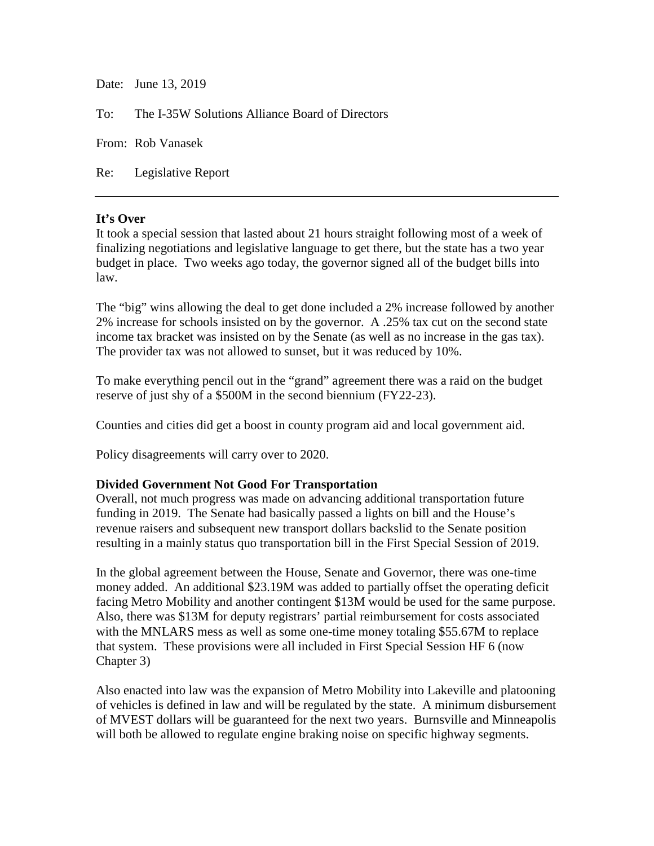Date: June 13, 2019 To: The I-35W Solutions Alliance Board of Directors From: Rob Vanasek Re: Legislative Report

## **It's Over**

It took a special session that lasted about 21 hours straight following most of a week of finalizing negotiations and legislative language to get there, but the state has a two year budget in place. Two weeks ago today, the governor signed all of the budget bills into law.

The "big" wins allowing the deal to get done included a 2% increase followed by another 2% increase for schools insisted on by the governor. A .25% tax cut on the second state income tax bracket was insisted on by the Senate (as well as no increase in the gas tax). The provider tax was not allowed to sunset, but it was reduced by 10%.

To make everything pencil out in the "grand" agreement there was a raid on the budget reserve of just shy of a \$500M in the second biennium (FY22-23).

Counties and cities did get a boost in county program aid and local government aid.

Policy disagreements will carry over to 2020.

## **Divided Government Not Good For Transportation**

Overall, not much progress was made on advancing additional transportation future funding in 2019. The Senate had basically passed a lights on bill and the House's revenue raisers and subsequent new transport dollars backslid to the Senate position resulting in a mainly status quo transportation bill in the First Special Session of 2019.

In the global agreement between the House, Senate and Governor, there was one-time money added. An additional \$23.19M was added to partially offset the operating deficit facing Metro Mobility and another contingent \$13M would be used for the same purpose. Also, there was \$13M for deputy registrars' partial reimbursement for costs associated with the MNLARS mess as well as some one-time money totaling \$55.67M to replace that system. These provisions were all included in First Special Session HF 6 (now Chapter 3)

Also enacted into law was the expansion of Metro Mobility into Lakeville and platooning of vehicles is defined in law and will be regulated by the state. A minimum disbursement of MVEST dollars will be guaranteed for the next two years. Burnsville and Minneapolis will both be allowed to regulate engine braking noise on specific highway segments.